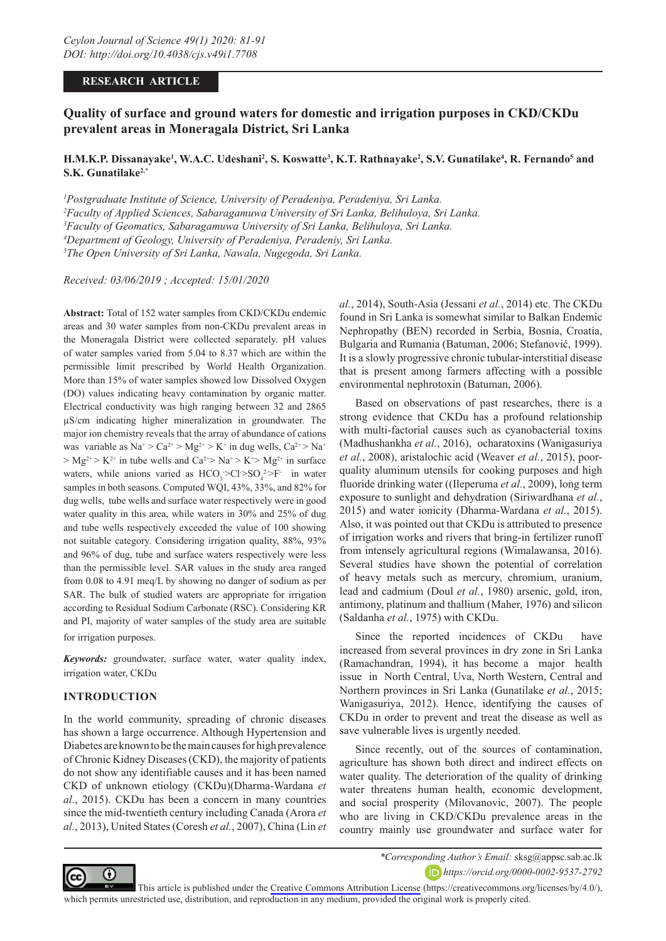### **RESEARCH ARTICLE**

# **Quality of surface and ground waters for domestic and irrigation purposes in CKD/CKDu prevalent areas in Moneragala District, Sri Lanka**

# $H.M.K.P. \, Dissanayake<sup>1</sup>, W.A.C. \, Udeshani<sup>2</sup>, S. \, Koswatte<sup>3</sup>, K.T. \,Rathnayake<sup>2</sup>, S.V. \, Gunatilake<sup>4</sup>, R. \,Fernando<sup>5</sup> and$ **S.K. Gunatilake2,\***

 *Postgraduate Institute of Science, University of Peradeniya, Peradeniya, Sri Lanka. Faculty of Applied Sciences, Sabaragamuwa University of Sri Lanka, Belihuloya, Sri Lanka. Faculty of Geomatics, Sabaragamuwa University of Sri Lanka, Belihuloya, Sri Lanka. Department of Geology, University of Peradeniya, Peradeniy, Sri Lanka. The Open University of Sri Lanka, Nawala, Nugegoda, Sri Lanka.*

*Received: 03/06/2019 ; Accepted: 15/01/2020*

**Abstract:** Total of 152 water samples from CKD/CKDu endemic areas and 30 water samples from non-CKDu prevalent areas in the Moneragala District were collected separately. pH values of water samples varied from 5.04 to 8.37 which are within the permissible limit prescribed by World Health Organization. More than 15% of water samples showed low Dissolved Oxygen (DO) values indicating heavy contamination by organic matter. Electrical conductivity was high ranging between 32 and 2865 µS/cm indicating higher mineralization in groundwater. The major ion chemistry reveals that the array of abundance of cations was variable as  $Na^+ > Ca^{2+} > Mg^{2+} > K^+$  in dug wells,  $Ca^{2+} > Na^+$  $> Mg^{2+} > K^{2+}$  in tube wells and  $Ca^{2+} > Na^{+} > K^{+} > Mg^{2+}$  in surface waters, while anions varied as  $HCO_3 > Cl > SO_4^2 > F^-$  in water samples in both seasons. Computed WQI, 43%, 33%, and 82% for dug wells, tube wells and surface water respectively were in good water quality in this area, while waters in 30% and 25% of dug and tube wells respectively exceeded the value of 100 showing not suitable category. Considering irrigation quality, 88%, 93% and 96% of dug, tube and surface waters respectively were less than the permissible level. SAR values in the study area ranged from 0.08 to 4.91 meq/L by showing no danger of sodium as per SAR. The bulk of studied waters are appropriate for irrigation according to Residual Sodium Carbonate (RSC). Considering KR and PI, majority of water samples of the study area are suitable for irrigation purposes.

*Keywords:* groundwater, surface water, water quality index, irrigation water, CKDu

### **INTRODUCTION**

In the world community, spreading of chronic diseases has shown a large occurrence. Although Hypertension and Diabetes are known to be the main causes for high prevalence of Chronic Kidney Diseases (CKD), the majority of patients do not show any identifiable causes and it has been named CKD of unknown etiology (CKDu)(Dharma-Wardana *et al.*, 2015). CKDu has been a concern in many countries since the mid-twentieth century including Canada (Arora *et al.*, 2013), United States (Coresh *et al.*, 2007), China (Lin *et* 

*al.*, 2014), South-Asia (Jessani *et al.*, 2014) etc. The CKDu found in Sri Lanka is somewhat similar to Balkan Endemic Nephropathy (BEN) recorded in Serbia, Bosnia, Croatia, Bulgaria and Rumania (Batuman, 2006; Stefanović, 1999). It is a slowly progressive chronic tubular-interstitial disease that is present among farmers affecting with a possible environmental nephrotoxin (Batuman, 2006).

Based on observations of past researches, there is a strong evidence that CKDu has a profound relationship with multi-factorial causes such as cyanobacterial toxins (Madhushankha *et al.*, 2016), ocharatoxins (Wanigasuriya *et al.*, 2008), aristalochic acid (Weaver *et al.*, 2015), poorquality aluminum utensils for cooking purposes and high fluoride drinking water ((Ileperuma *et al.*, 2009), long term exposure to sunlight and dehydration (Siriwardhana *et al.*, 2015) and water ionicity (Dharma-Wardana *et al.*, 2015). Also, it was pointed out that CKDu is attributed to presence of irrigation works and rivers that bring-in fertilizer runoff from intensely agricultural regions (Wimalawansa, 2016). Several studies have shown the potential of correlation of heavy metals such as mercury, chromium, uranium, lead and cadmium (Doul *et al.*, 1980) arsenic, gold, iron, antimony, platinum and thallium (Maher, 1976) and silicon (Saldanha *et al.*, 1975) with CKDu.

Since the reported incidences of CKDu have increased from several provinces in dry zone in Sri Lanka (Ramachandran, 1994), it has become a major health issue in North Central, Uva, North Western, Central and Northern provinces in Sri Lanka (Gunatilake *et al.*, 2015; Wanigasuriya, 2012). Hence, identifying the causes of CKDu in order to prevent and treat the disease as well as save vulnerable lives is urgently needed.

Since recently, out of the sources of contamination, agriculture has shown both direct and indirect effects on water quality. The deterioration of the quality of drinking water threatens human health, economic development, and social prosperity (Milovanovic, 2007). The people who are living in CKD/CKDu prevalence areas in the country mainly use groundwater and surface water for



*\*Corresponding Author's Email:* sksg@appsc.sab.ac.lk *https://orcid.org/0000-0002-9537-2792*

This article is published under the [Creative Commons Attribution License](https://creativecommons.org/licenses/by/4.0/) (https://creativecommons.org/licenses/by/4.0/), which permits unrestricted use, distribution, and reproduction in any medium, provided the original work is properly cited.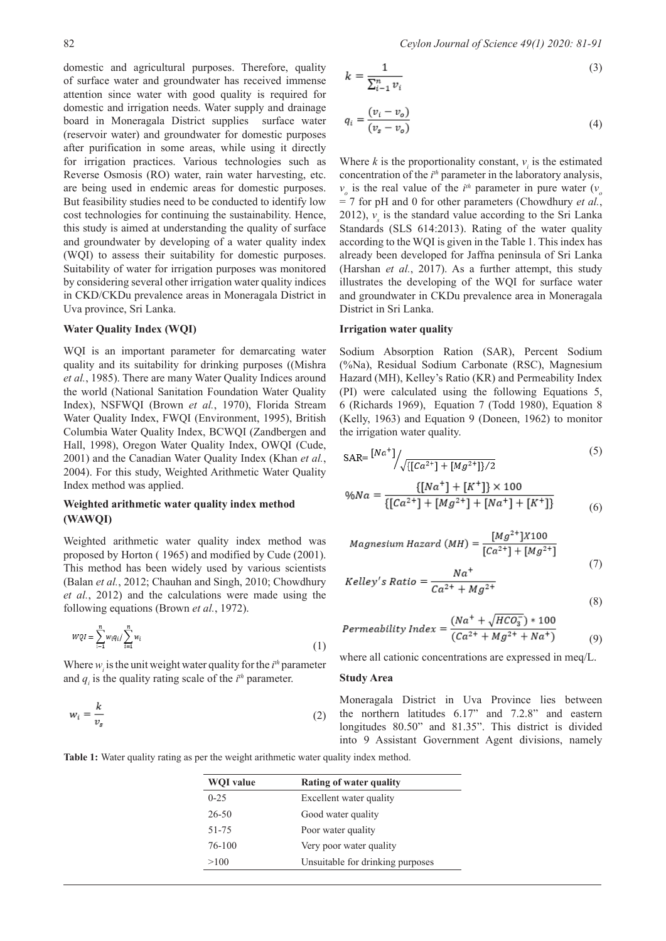domestic and agricultural purposes. Therefore, quality of surface water and groundwater has received immense attention since water with good quality is required for domestic and irrigation needs. Water supply and drainage board in Moneragala District supplies surface water (reservoir water) and groundwater for domestic purposes after purification in some areas, while using it directly for irrigation practices. Various technologies such as Reverse Osmosis (RO) water, rain water harvesting, etc. are being used in endemic areas for domestic purposes. But feasibility studies need to be conducted to identify low cost technologies for continuing the sustainability. Hence, this study is aimed at understanding the quality of surface and groundwater by developing of a water quality index (WQI) to assess their suitability for domestic purposes. Suitability of water for irrigation purposes was monitored by considering several other irrigation water quality indices in CKD/CKDu prevalence areas in Moneragala District in Uva province, Sri Lanka.

### **Water Quality Index (WQI)**

WQI is an important parameter for demarcating water quality and its suitability for drinking purposes ((Mishra *et al.*, 1985). There are many Water Quality Indices around the world (National Sanitation Foundation Water Quality Index), NSFWQI (Brown *et al.*, 1970), Florida Stream Water Quality Index, FWQI (Environment, 1995), British Columbia Water Quality Index, BCWQI (Zandbergen and Hall, 1998), Oregon Water Quality Index, OWQI (Cude, 2001) and the Canadian Water Quality Index (Khan *et al.*, 2004). For this study, Weighted Arithmetic Water Quality Index method was applied.

### **Weighted arithmetic water quality index method (WAWQI)**

Weighted arithmetic water quality index method was proposed by Horton ( 1965) and modified by Cude (2001). This method has been widely used by various scientists (Balan *et al.*, 2012; Chauhan and Singh, 2010; Chowdhury *et al.*, 2012) and the calculations were made using the following equations (Brown *et al.*, 1972).

$$
wqt = \sum_{i=1}^{n} w_i q_i / \sum_{i=1}^{n} w_i
$$
\n
$$
(1)
$$

Where  $w_i$  is the unit weight water quality for the  $i<sup>th</sup>$  parameter and  $q_i$  is the quality rating scale of the  $i<sup>th</sup>$  parameter.

$$
w_i = \frac{k}{v_s} \tag{2}
$$

$$
k = \frac{1}{\sum_{i=1}^{n} \nu_i} \tag{3}
$$

$$
q_i = \frac{(v_i - v_o)}{(v_s - v_o)}
$$
\n<sup>(4)</sup>

Where  $k$  is the proportionality constant,  $v_i$  is the estimated concentration of the *i*<sup>th</sup> parameter in the laboratory analysis,  $v_o$  is the real value of the *i*<sup>th</sup> parameter in pure water ( $v_o$ = 7 for pH and 0 for other parameters (Chowdhury *et al.*, 2012),  $v_s$  is the standard value according to the Sri Lanka Standards (SLS 614:2013). Rating of the water quality according to the WQI is given in the Table 1. This index has already been developed for Jaffna peninsula of Sri Lanka (Harshan *et al.*, 2017). As a further attempt, this study illustrates the developing of the WQI for surface water and groundwater in CKDu prevalence area in Moneragala District in Sri Lanka.

#### **Irrigation water quality**

Sodium Absorption Ration (SAR), Percent Sodium (%Na), Residual Sodium Carbonate (RSC), Magnesium Hazard (MH), Kelley's Ratio (KR) and Permeability Index (PI) were calculated using the following Equations 5, 6 (Richards 1969), Equation 7 (Todd 1980), Equation 8 (Kelly, 1963) and Equation 9 (Doneen, 1962) to monitor the irrigation water quality.

$$
SAR = \frac{[Na^+]}{\sqrt{\{[Ca^{2+}]+[Mg^{2+}]\}/2}}\tag{5}
$$

$$
\%Na = \frac{\{[Na^+] + [K^+]\} \times 100}{\{[Ca^{2+}]+[Mg^{2+}]+[Na^+]+[K^+]\}}
$$
(6)

$$
Magnesium\ Hazard\ (MH) = \frac{[Mg^{2+}]X100}{[Ca^{2+}]+[Mg^{2+}]}
$$
\n
$$
(7)
$$

$$
Kelley's Ratio = \frac{Na^{+}}{Ca^{2+} + Ma^{2+}}
$$

(8)

Permeability Index = 
$$
\frac{(Na^{+} + \sqrt{HCO_{3}^{-}}) * 100}{(Ca^{2+} + Mg^{2+} + Na^{+})}
$$
 (9)

where all cationic concentrations are expressed in meq/L.

### **Study Area**

Moneragala District in Uva Province lies between the northern latitudes 6.17" and 7.2.8" and eastern longitudes 80.50" and 81.35". This district is divided into 9 Assistant Government Agent divisions, namely

**Table 1:** Water quality rating as per the weight arithmetic water quality index method.

| <b>WOI</b> value | Rating of water quality          |
|------------------|----------------------------------|
| $0 - 2.5$        | Excellent water quality          |
| 26-50            | Good water quality               |
| $51 - 75$        | Poor water quality               |
| 76-100           | Very poor water quality          |
| >100             | Unsuitable for drinking purposes |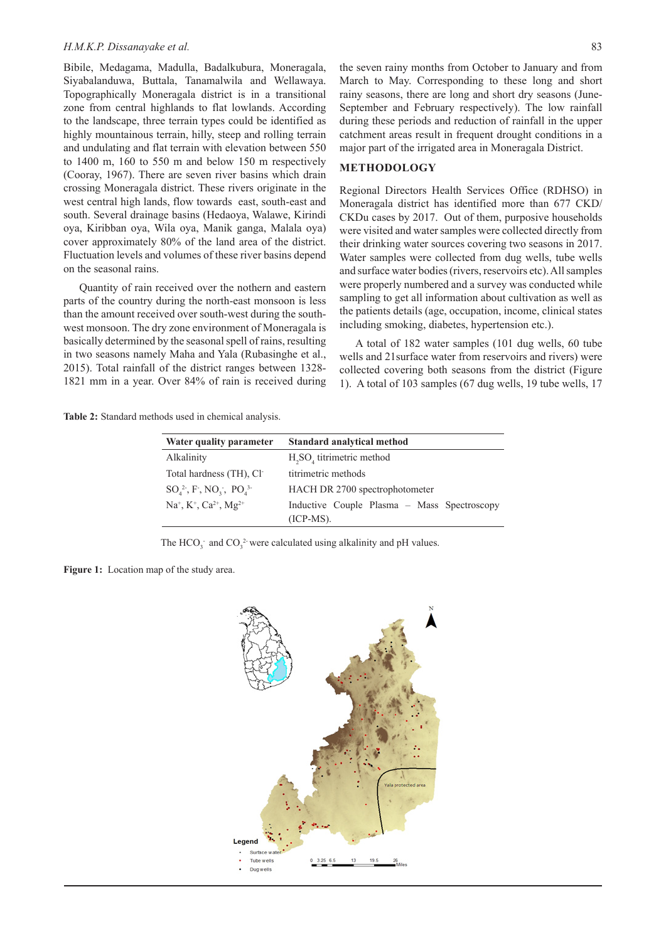#### *H.M.K.P. Dissanayake et al.* 83

Bibile, Medagama, Madulla, Badalkubura, Moneragala, Siyabalanduwa, Buttala, Tanamalwila and Wellawaya. Topographically Moneragala district is in a transitional zone from central highlands to flat lowlands. According to the landscape, three terrain types could be identified as highly mountainous terrain, hilly, steep and rolling terrain and undulating and flat terrain with elevation between 550 to 1400 m, 160 to 550 m and below 150 m respectively (Cooray, 1967). There are seven river basins which drain crossing Moneragala district. These rivers originate in the west central high lands, flow towards east, south-east and south. Several drainage basins (Hedaoya, Walawe, Kirindi oya, Kiribban oya, Wila oya, Manik ganga, Malala oya) cover approximately 80% of the land area of the district. Fluctuation levels and volumes of these river basins depend on the seasonal rains.

Quantity of rain received over the nothern and eastern parts of the country during the north-east monsoon is less than the amount received over south-west during the southwest monsoon. The dry zone environment of Moneragala is basically determined by the seasonal spell of rains, resulting in two seasons namely Maha and Yala (Rubasinghe et al., 2015). Total rainfall of the district ranges between 1328- 1821 mm in a year. Over 84% of rain is received during

the seven rainy months from October to January and from March to May. Corresponding to these long and short rainy seasons, there are long and short dry seasons (June-September and February respectively). The low rainfall during these periods and reduction of rainfall in the upper catchment areas result in frequent drought conditions in a major part of the irrigated area in Moneragala District.

### **METHODOLOGY**

Regional Directors Health Services Office (RDHSO) in Moneragala district has identified more than 677 CKD/ CKDu cases by 2017. Out of them, purposive households were visited and water samples were collected directly from their drinking water sources covering two seasons in 2017. Water samples were collected from dug wells, tube wells and surface water bodies (rivers, reservoirs etc). All samples were properly numbered and a survey was conducted while sampling to get all information about cultivation as well as the patients details (age, occupation, income, clinical states including smoking, diabetes, hypertension etc.).

A total of 182 water samples (101 dug wells, 60 tube wells and 21surface water from reservoirs and rivers) were collected covering both seasons from the district (Figure 1). A total of 103 samples (67 dug wells, 19 tube wells, 17

**Table 2:** Standard methods used in chemical analysis.

| Water quality parameter                                      | <b>Standard analytical method</b>                          |
|--------------------------------------------------------------|------------------------------------------------------------|
| Alkalinity                                                   | $H_2SO_4$ titrimetric method                               |
| Total hardness (TH), Cl <sup>-</sup>                         | titrimetric methods                                        |
| $SO_4^2$ , F, NO <sub>3</sub> , PO <sub>4</sub> <sup>3</sup> | HACH DR 2700 spectrophotometer                             |
| $Na^{+}$ , $K^{+}$ , $Ca^{2+}$ , $Mg^{2+}$                   | Inductive Couple Plasma – Mass Spectroscopy<br>$(ICP-MS).$ |

The HCO<sub>3</sub><sup>-</sup> and CO<sub>3</sub><sup>2</sup> were calculated using alkalinity and pH values.

Figure 1: Location map of the study area.

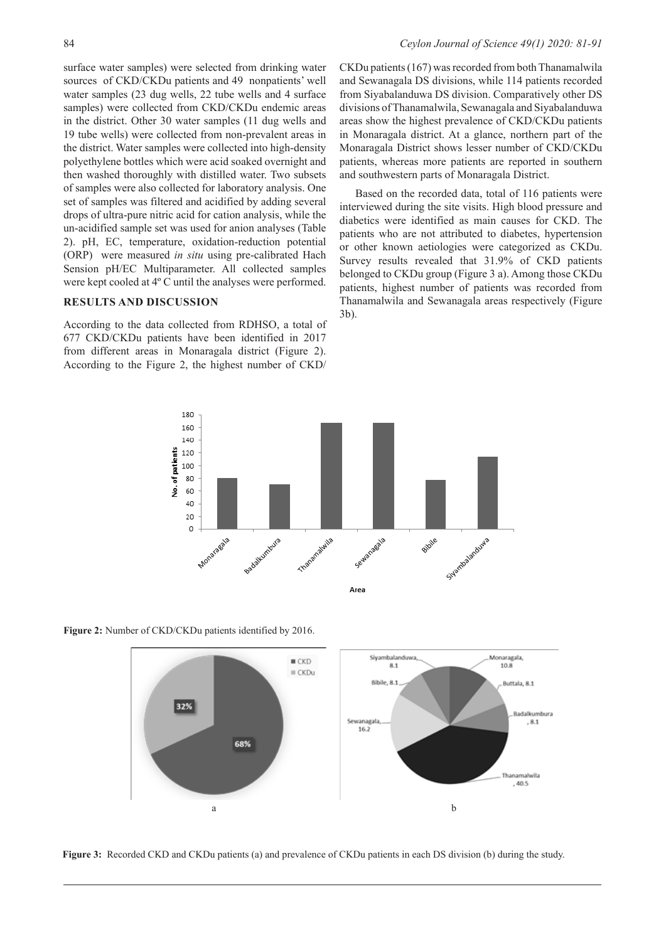surface water samples) were selected from drinking water sources of CKD/CKDu patients and 49 nonpatients' well water samples (23 dug wells, 22 tube wells and 4 surface samples) were collected from CKD/CKDu endemic areas in the district. Other 30 water samples (11 dug wells and 19 tube wells) were collected from non-prevalent areas in the district. Water samples were collected into high-density polyethylene bottles which were acid soaked overnight and then washed thoroughly with distilled water. Two subsets of samples were also collected for laboratory analysis. One set of samples was filtered and acidified by adding several drops of ultra-pure nitric acid for cation analysis, while the un-acidified sample set was used for anion analyses (Table 2). pH, EC, temperature, oxidation-reduction potential (ORP) were measured *in situ* using pre-calibrated Hach Sension pH/EC Multiparameter. All collected samples were kept cooled at 4º C until the analyses were performed.

### **RESULTS AND DISCUSSION**

According to the data collected from RDHSO, a total of 677 CKD/CKDu patients have been identified in 2017 from different areas in Monaragala district (Figure 2). According to the Figure 2, the highest number of CKD/

CKDu patients (167) was recorded from both Thanamalwila and Sewanagala DS divisions, while 114 patients recorded from Siyabalanduwa DS division. Comparatively other DS divisions of Thanamalwila, Sewanagala and Siyabalanduwa areas show the highest prevalence of CKD/CKDu patients in Monaragala district. At a glance, northern part of the Monaragala District shows lesser number of CKD/CKDu patients, whereas more patients are reported in southern and southwestern parts of Monaragala District.

Based on the recorded data, total of 116 patients were interviewed during the site visits. High blood pressure and diabetics were identified as main causes for CKD. The patients who are not attributed to diabetes, hypertension or other known aetiologies were categorized as CKDu. Survey results revealed that 31.9% of CKD patients belonged to CKDu group (Figure 3 a). Among those CKDu patients, highest number of patients was recorded from Thanamalwila and Sewanagala areas respectively (Figure 3b).



**Figure 2:** Number of CKD/CKDu patients identified by 2016.



**Figure 3:** Recorded CKD and CKDu patients (a) and prevalence of CKDu patients in each DS division (b) during the study.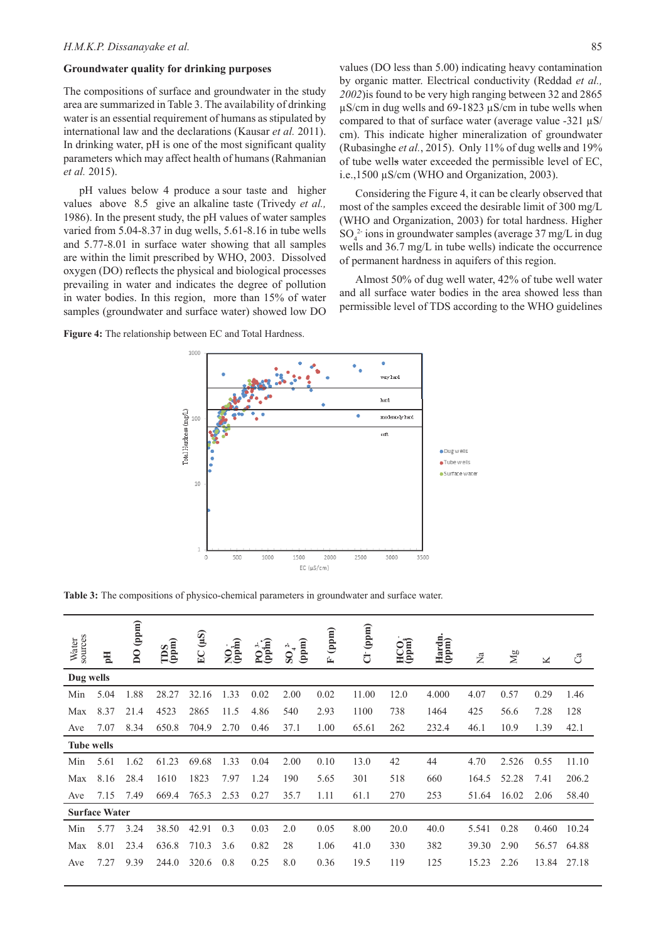#### **Groundwater quality for drinking purposes**

The compositions of surface and groundwater in the study area are summarized in Table 3. The availability of drinking water is an essential requirement of humans as stipulated by international law and the declarations (Kausar *et al.* 2011). In drinking water, pH is one of the most significant quality parameters which may affect health of humans (Rahmanian *et al.* 2015).

pH values below 4 produce a sour taste and higher values above 8.5 give an alkaline taste (Trivedy *et al.,* 1986). In the present study, the pH values of water samples varied from 5.04-8.37 in dug wells, 5.61-8.16 in tube wells and 5.77-8.01 in surface water showing that all samples are within the limit prescribed by WHO, 2003. Dissolved oxygen (DO) reflects the physical and biological processes prevailing in water and indicates the degree of pollution in water bodies. In this region, more than 15% of water samples (groundwater and surface water) showed low DO values (DO less than 5.00) indicating heavy contamination by organic matter. Electrical conductivity (Reddad *et al., 2002*)is found to be very high ranging between 32 and 2865 µS/cm in dug wells and 69-1823 µS/cm in tube wells when compared to that of surface water (average value -321  $\mu$ S/ cm). This indicate higher mineralization of groundwater (Rubasinghe *et al.*, 2015). Only 11% of dug wells and 19% of tube wells water exceeded the permissible level of EC, i.e.,1500 µS/cm (WHO and Organization, 2003).

Considering the Figure 4, it can be clearly observed that most of the samples exceed the desirable limit of 300 mg/L (WHO and Organization, 2003) for total hardness. Higher  $SO_4^2$  ions in groundwater samples (average 37 mg/L in dug wells and 36.7 mg/L in tube wells) indicate the occurrence of permanent hardness in aquifers of this region.

Almost 50% of dug well water, 42% of tube well water and all surface water bodies in the area showed less than permissible level of TDS according to the WHO guidelines

Figure 4: The relationship between EC and Total Hardness.



**Table 3:** The compositions of physico-chemical parameters in groundwater and surface water.

| Water<br>sources  | $\mathbf{H}$         | DO(ppm) | $\begin{array}{c}\n\text{TDS} \\ \text{(ppm)}\n\end{array}$ | (45)<br>EC | $NQ_{\text{p}}$ | $PQ^{3}$<br>(ppm) | (ppm)<br>$SO_4^{2-}$ | (ppm)<br>Ė | $C1$ (ppm) | HCO <sub>i</sub> | Hardn.<br>(ppm) | $\sum_{a}$ | $\rm\thinspace Mg$ | K     | ී     |
|-------------------|----------------------|---------|-------------------------------------------------------------|------------|-----------------|-------------------|----------------------|------------|------------|------------------|-----------------|------------|--------------------|-------|-------|
| Dug wells         |                      |         |                                                             |            |                 |                   |                      |            |            |                  |                 |            |                    |       |       |
| Min               | 5.04                 | 1.88    | 28.27                                                       | 32.16      | 1.33            | 0.02              | 2.00                 | 0.02       | 11.00      | 12.0             | 4.000           | 4.07       | 0.57               | 0.29  | 1.46  |
| Max               | 8.37                 | 21.4    | 4523                                                        | 2865       | 11.5            | 4.86              | 540                  | 2.93       | 1100       | 738              | 1464            | 425        | 56.6               | 7.28  | 128   |
| Ave               | 7.07                 | 8.34    | 650.8                                                       | 704.9      | 2.70            | 0.46              | 37.1                 | 1.00       | 65.61      | 262              | 232.4           | 46.1       | 10.9               | 1.39  | 42.1  |
| <b>Tube wells</b> |                      |         |                                                             |            |                 |                   |                      |            |            |                  |                 |            |                    |       |       |
| Min               | 5.61                 | 1.62    | 61.23                                                       | 69.68      | 1.33            | 0.04              | 2.00                 | 0.10       | 13.0       | 42               | 44              | 4.70       | 2.526              | 0.55  | 11.10 |
| Max               | 8.16                 | 28.4    | 1610                                                        | 1823       | 7.97            | 1.24              | 190                  | 5.65       | 301        | 518              | 660             | 164.5      | 52.28              | 7.41  | 206.2 |
| Ave               | 7.15                 | 7.49    | 669.4                                                       | 765.3      | 2.53            | 0.27              | 35.7                 | 1.11       | 61.1       | 270              | 253             | 51.64      | 16.02              | 2.06  | 58.40 |
|                   | <b>Surface Water</b> |         |                                                             |            |                 |                   |                      |            |            |                  |                 |            |                    |       |       |
| Min               | 5.77                 | 3.24    | 38.50                                                       | 42.91      | 0.3             | 0.03              | 2.0                  | 0.05       | 8.00       | 20.0             | 40.0            | 5.541      | 0.28               | 0.460 | 10.24 |
| Max               | 8.01                 | 23.4    | 636.8                                                       | 710.3      | 3.6             | 0.82              | 28                   | 1.06       | 41.0       | 330              | 382             | 39.30      | 2.90               | 56.57 | 64.88 |
| Ave               | 7.27                 | 9.39    | 244.0                                                       | 320.6      | 0.8             | 0.25              | 8.0                  | 0.36       | 19.5       | 119              | 125             | 15.23      | 2.26               | 13.84 | 27.18 |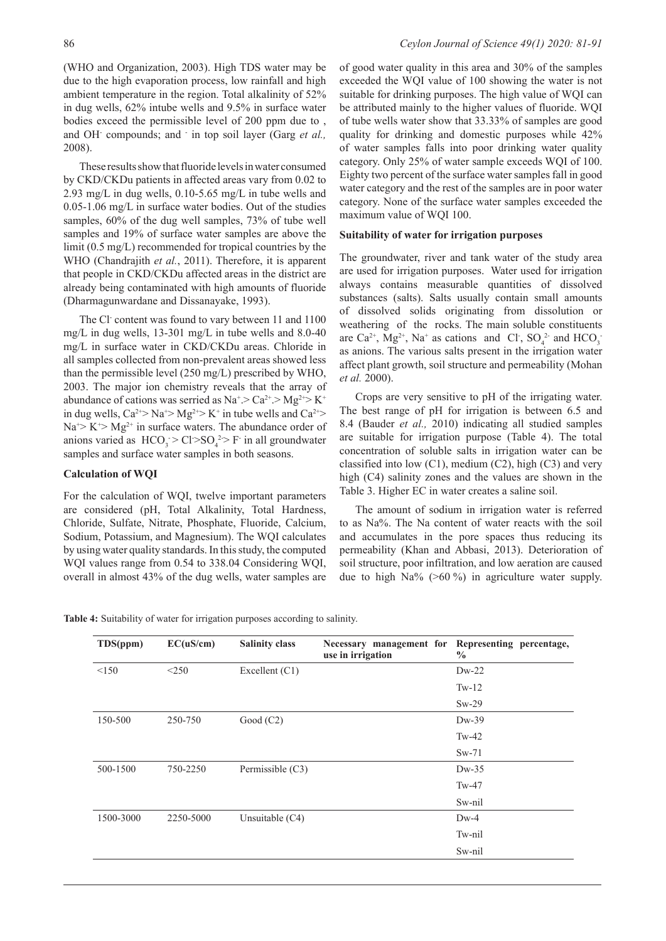(WHO and Organization, 2003). High TDS water may be due to the high evaporation process, low rainfall and high ambient temperature in the region. Total alkalinity of 52% in dug wells, 62% intube wells and 9.5% in surface water bodies exceed the permissible level of 200 ppm due to , and OH- compounds; and - in top soil layer (Garg *et al.,* 2008).

These results show that fluoride levels in water consumed by CKD/CKDu patients in affected areas vary from 0.02 to 2.93 mg/L in dug wells, 0.10-5.65 mg/L in tube wells and 0.05-1.06 mg/L in surface water bodies. Out of the studies samples, 60% of the dug well samples, 73% of tube well samples and 19% of surface water samples are above the limit (0.5 mg/L) recommended for tropical countries by the WHO (Chandrajith *et al.*, 2011). Therefore, it is apparent that people in CKD/CKDu affected areas in the district are already being contaminated with high amounts of fluoride (Dharmagunwardane and Dissanayake, 1993).

The Cl<sup>-</sup> content was found to vary between 11 and 1100 mg/L in dug wells, 13-301 mg/L in tube wells and 8.0-40 mg/L in surface water in CKD/CKDu areas. Chloride in all samples collected from non-prevalent areas showed less than the permissible level (250 mg/L) prescribed by WHO, 2003. The major ion chemistry reveals that the array of abundance of cations was serried as  $Na^+ > Ca^{2+} > Mg^{2+} > K^+$ in dug wells,  $Ca^{2+} > Na^{+} > Mg^{2+} > K^{+}$  in tube wells and  $Ca^{2+} >$  $Na^{+} > K^{+} > Mg^{2+}$  in surface waters. The abundance order of anions varied as  $HCO_3 > Cl > SO_4^2 > F$  in all groundwater samples and surface water samples in both seasons.

### **Calculation of WQI**

For the calculation of WQI, twelve important parameters are considered (pH, Total Alkalinity, Total Hardness, Chloride, Sulfate, Nitrate, Phosphate, Fluoride, Calcium, Sodium, Potassium, and Magnesium). The WQI calculates by using water quality standards. In this study, the computed WQI values range from 0.54 to 338.04 Considering WQI, overall in almost 43% of the dug wells, water samples are

of good water quality in this area and 30% of the samples exceeded the WQI value of 100 showing the water is not suitable for drinking purposes. The high value of WQI can be attributed mainly to the higher values of fluoride. WQI of tube wells water show that 33.33% of samples are good quality for drinking and domestic purposes while 42% of water samples falls into poor drinking water quality category. Only 25% of water sample exceeds WQI of 100. Eighty two percent of the surface water samples fall in good water category and the rest of the samples are in poor water category. None of the surface water samples exceeded the maximum value of WQI 100.

### **Suitability of water for irrigation purposes**

The groundwater, river and tank water of the study area are used for irrigation purposes. Water used for irrigation always contains measurable quantities of dissolved substances (salts). Salts usually contain small amounts of dissolved solids originating from dissolution or weathering of the rocks. The main soluble constituents are Ca<sup>2+</sup>, Mg<sup>2+</sup>, Na<sup>+</sup> as cations and Cl<sup>-</sup>, SO<sub>4</sub><sup>2-</sup> and HCO<sub>3</sub><sup>-</sup> as anions. The various salts present in the irrigation water affect plant growth, soil structure and permeability (Mohan *et al.* 2000).

Crops are very sensitive to pH of the irrigating water. The best range of pH for irrigation is between 6.5 and 8.4 (Bauder *et al.,* 2010) indicating all studied samples are suitable for irrigation purpose (Table 4). The total concentration of soluble salts in irrigation water can be classified into low  $(C1)$ , medium  $(C2)$ , high  $(C3)$  and very high (C4) salinity zones and the values are shown in the Table 3. Higher EC in water creates a saline soil.

The amount of sodium in irrigation water is referred to as Na%. The Na content of water reacts with the soil and accumulates in the pore spaces thus reducing its permeability (Khan and Abbasi, 2013). Deterioration of soil structure, poor infiltration, and low aeration are caused due to high Na% (>60 %) in agriculture water supply.

|  |  | Table 4: Suitability of water for irrigation purposes according to salinity. |
|--|--|------------------------------------------------------------------------------|
|  |  |                                                                              |

| TDS(ppm)  | EC(uS/cm) | <b>Salinity class</b> | Necessary management for Representing percentage,<br>use in irrigation | $\frac{6}{9}$ |
|-----------|-----------|-----------------------|------------------------------------------------------------------------|---------------|
| < 150     | < 250     | Excellent $(C1)$      |                                                                        | $Dw-22$       |
|           |           |                       |                                                                        | $Tw-12$       |
|           |           |                       |                                                                        | $Sw-29$       |
| 150-500   | 250-750   | Good $(C2)$           |                                                                        | $Dw-39$       |
|           |           |                       |                                                                        | $Tw-42$       |
|           |           |                       |                                                                        | $Sw-71$       |
| 500-1500  | 750-2250  | Permissible (C3)      |                                                                        | $Dw-35$       |
|           |           |                       |                                                                        | $Tw-47$       |
|           |           |                       |                                                                        | Sw-nil        |
| 1500-3000 | 2250-5000 | Unsuitable $(C4)$     |                                                                        | $Dw-4$        |
|           |           |                       |                                                                        | Tw-nil        |
|           |           |                       |                                                                        | Sw-nil        |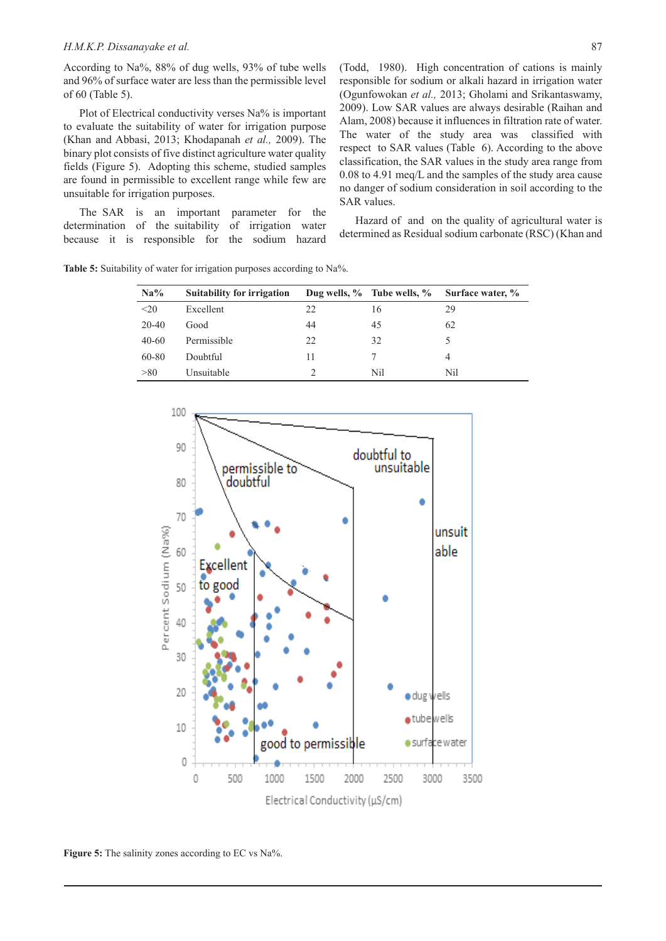#### *H.M.K.P. Dissanayake et al.* 87

According to Na%, 88% of dug wells, 93% of tube wells and 96% of surface water are less than the permissible level of 60 (Table 5).

Plot of Electrical conductivity verses Na% is important to evaluate the suitability of water for irrigation purpose (Khan and Abbasi, 2013; Khodapanah *et al.,* 2009). The binary plot consists of five distinct agriculture water quality fields (Figure 5). Adopting this scheme, studied samples are found in permissible to excellent range while few are unsuitable for irrigation purposes.

The SAR is an important parameter for the determination of the suitability of irrigation water because it is responsible for the sodium hazard

Table 5: Suitability of water for irrigation purposes according to Na%.

(Todd, 1980). High concentration of cations is mainly responsible for sodium or alkali hazard in irrigation water (Ogunfowokan *et al.,* 2013; Gholami and Srikantaswamy, 2009). Low SAR values are always desirable (Raihan and Alam, 2008) because it influences in filtration rate of water. The water of the study area was classified with respect to SAR values (Table 6). According to the above classification, the SAR values in the study area range from 0.08 to 4.91 meq/L and the samples of the study area cause no danger of sodium consideration in soil according to the SAR values.

Hazard of and on the quality of agricultural water is determined as Residual sodium carbonate (RSC) (Khan and

| Na%     | <b>Suitability for irrigation</b> |    | Dug wells, $\%$ Tube wells, $\%$ | Surface water, % |
|---------|-----------------------------------|----|----------------------------------|------------------|
| $20$    | Excellent                         | 22 | 16                               | 29               |
| $20-40$ | Good                              | 44 | 45                               | 62               |
| $40-60$ | Permissible                       | 22 | 32                               |                  |
| 60-80   | Doubtful                          | 11 |                                  |                  |
| > 80    | Unsuitable                        |    | Nil                              | Nil              |



**Figure 5:** The salinity zones according to EC vs Na%.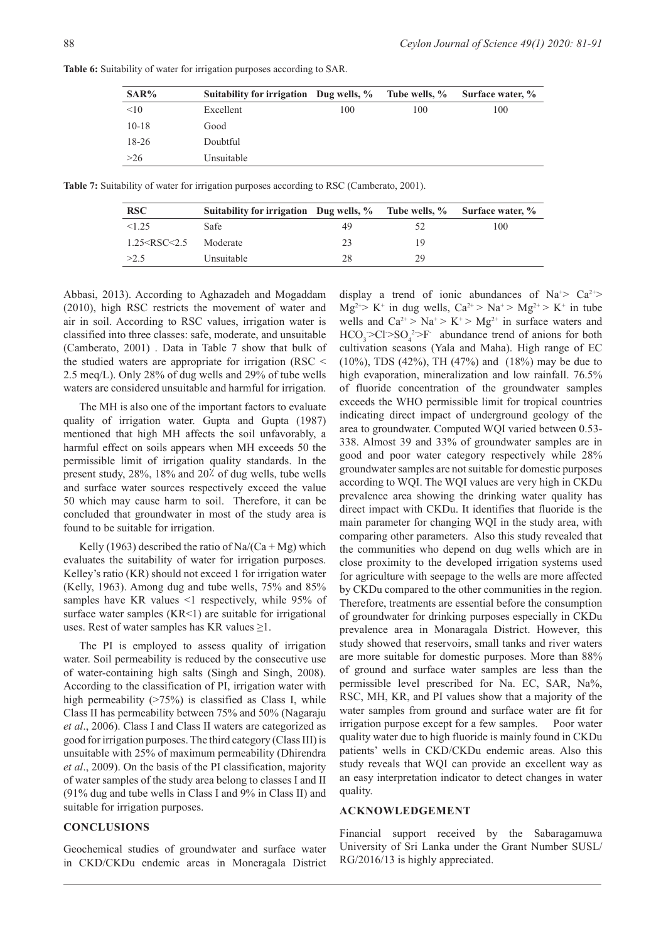| SAR%    | Suitability for irrigation Dug wells, % Tube wells, % |     |     | Surface water, % |
|---------|-------------------------------------------------------|-----|-----|------------------|
| <10     | Excellent                                             | 100 | 100 | 100              |
| $10-18$ | Good                                                  |     |     |                  |
| 18-26   | Doubtful                                              |     |     |                  |
| >26     | Unsuitable                                            |     |     |                  |

**Table 6:** Suitability of water for irrigation purposes according to SAR.

**Table 7:** Suitability of water for irrigation purposes according to RSC (Camberato, 2001).

| <b>RSC</b>           | Suitability for irrigation Dug wells, % Tube wells, % Surface water, % |     |    |     |
|----------------------|------------------------------------------------------------------------|-----|----|-----|
| <1.25                | Safe                                                                   | 49. |    | 100 |
| $1.25 <$ RSC $<$ 2.5 | Moderate                                                               | 23  | 19 |     |
| >2.5                 | Unsuitable                                                             | 28  | 29 |     |

Abbasi, 2013). According to Aghazadeh and Mogaddam (2010), high RSC restricts the movement of water and air in soil. According to RSC values, irrigation water is classified into three classes: safe, moderate, and unsuitable (Camberato, 2001) . Data in Table 7 show that bulk of the studied waters are appropriate for irrigation (RSC < 2.5 meq/L). Only 28% of dug wells and 29% of tube wells waters are considered unsuitable and harmful for irrigation.

The MH is also one of the important factors to evaluate quality of irrigation water. Gupta and Gupta (1987) mentioned that high MH affects the soil unfavorably, a harmful effect on soils appears when MH exceeds 50 the permissible limit of irrigation quality standards. In the present study, 28%, 18% and 20% of dug wells, tube wells and surface water sources respectively exceed the value 50 which may cause harm to soil. Therefore, it can be concluded that groundwater in most of the study area is found to be suitable for irrigation.

Kelly (1963) described the ratio of Na/(Ca + Mg) which evaluates the suitability of water for irrigation purposes. Kelley's ratio (KR) should not exceed 1 for irrigation water (Kelly, 1963). Among dug and tube wells, 75% and 85% samples have KR values <1 respectively, while 95% of surface water samples  $(KR<1)$  are suitable for irrigational uses. Rest of water samples has KR values  $\geq$ 1.

The PI is employed to assess quality of irrigation water. Soil permeability is reduced by the consecutive use of water-containing high salts (Singh and Singh, 2008). According to the classification of PI, irrigation water with high permeability (>75%) is classified as Class I, while Class II has permeability between 75% and 50% (Nagaraju *et al*., 2006). Class I and Class II waters are categorized as good for irrigation purposes. The third category (Class III) is unsuitable with 25% of maximum permeability (Dhirendra *et al*., 2009). On the basis of the PI classification, majority of water samples of the study area belong to classes I and II (91% dug and tube wells in Class I and 9% in Class II) and suitable for irrigation purposes.

### **CONCLUSIONS**

Geochemical studies of groundwater and surface water in CKD/CKDu endemic areas in Moneragala District

display a trend of ionic abundances of Na<sup>+</sup>>  $Ca^{2+}$  $Mg^{2+} > K^+$  in dug wells,  $Ca^{2+} > Na^+ > Mg^{2+} > K^+$  in tube wells and  $Ca^{2+} > Na^{+} > K^{+} > Mg^{2+}$  in surface waters and  $HCO<sub>3</sub> > Cl > SO<sub>4</sub><sup>2</sup> > F$  abundance trend of anions for both cultivation seasons (Yala and Maha). High range of EC (10%), TDS (42%), TH (47%) and (18%) may be due to high evaporation, mineralization and low rainfall. 76.5% of fluoride concentration of the groundwater samples exceeds the WHO permissible limit for tropical countries indicating direct impact of underground geology of the area to groundwater. Computed WQI varied between 0.53- 338. Almost 39 and 33% of groundwater samples are in good and poor water category respectively while 28% groundwater samples are not suitable for domestic purposes according to WQI. The WQI values are very high in CKDu prevalence area showing the drinking water quality has direct impact with CKDu. It identifies that fluoride is the main parameter for changing WQI in the study area, with comparing other parameters. Also this study revealed that the communities who depend on dug wells which are in close proximity to the developed irrigation systems used for agriculture with seepage to the wells are more affected by CKDu compared to the other communities in the region. Therefore, treatments are essential before the consumption of groundwater for drinking purposes especially in CKDu prevalence area in Monaragala District. However, this study showed that reservoirs, small tanks and river waters are more suitable for domestic purposes. More than 88% of ground and surface water samples are less than the permissible level prescribed for Na. EC, SAR, Na%, RSC, MH, KR, and PI values show that a majority of the water samples from ground and surface water are fit for irrigation purpose except for a few samples. Poor water quality water due to high fluoride is mainly found in CKDu patients' wells in CKD/CKDu endemic areas. Also this study reveals that WQI can provide an excellent way as an easy interpretation indicator to detect changes in water quality.

#### **ACKNOWLEDGEMENT**

Financial support received by the Sabaragamuwa University of Sri Lanka under the Grant Number SUSL/ RG/2016/13 is highly appreciated.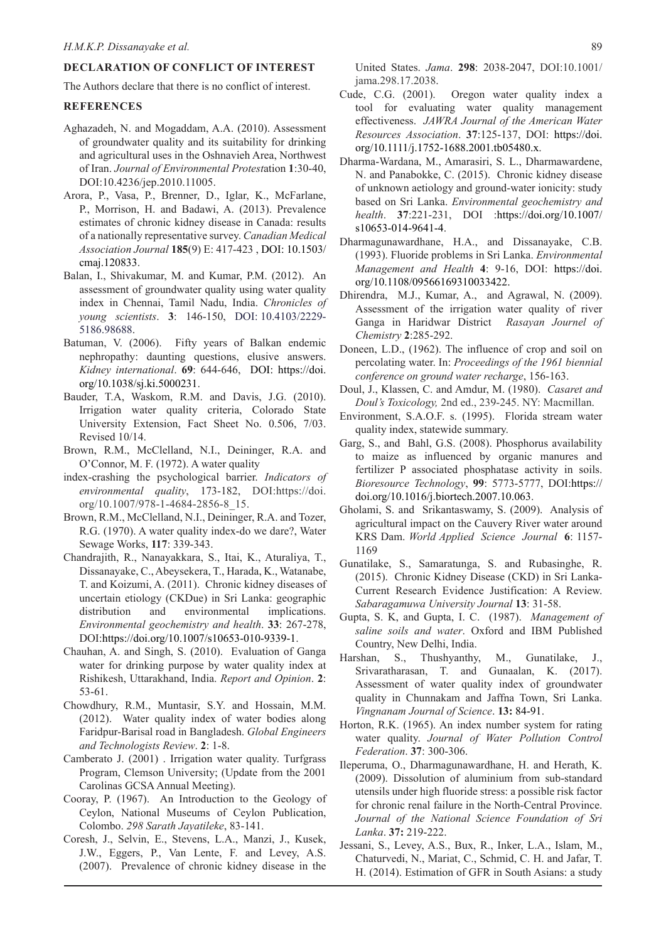# **DECLARATION OF CONFLICT OF INTEREST**

The Authors declare that there is no conflict of interest.

### **REFERENCES**

- Aghazadeh, N. and Mogaddam, A.A. (2010). Assessment of groundwater quality and its suitability for drinking and agricultural uses in the Oshnavieh Area, Northwest of Iran. *Journal of Environmental Protest*ation **1**:30-40, DOI:10.4236/jep.2010.11005.
- Arora, P., Vasa, P., Brenner, D., Iglar, K., McFarlane, P., Morrison, H. and Badawi, A. (2013). Prevalence estimates of chronic kidney disease in Canada: results of a nationally representative survey. *Canadian Medical Association Journal* **185**(9) E: 417-423 , DOI: 10.1503/ cmaj.120833.
- Balan, I., Shivakumar, M. and Kumar, P.M. (2012). An assessment of groundwater quality using water quality index in Chennai, Tamil Nadu, India. *Chronicles of young scientists*. **3**: 146-150, DOI: 10.4103/2229- 5186.98688.
- Batuman, V. (2006). Fifty years of Balkan endemic nephropathy: daunting questions, elusive answers. *Kidney international*. **69**: 644-646, DOI: https://doi. org/10.1038/sj.ki.5000231.
- Bauder, T.A, Waskom, R.M. and Davis, J.G. (2010). Irrigation water quality criteria, Colorado State University Extension, Fact Sheet No. 0.506, 7/03. Revised 10/14.
- Brown, R.M., McClelland, N.I., Deininger, R.A. and O'Connor, M. F. (1972). A water quality
- index-crashing the psychological barrier. *Indicators of environmental quality*, 173-182, DOI:https://doi. org/10.1007/978-1-4684-2856-8\_15.
- Brown, R.M., McClelland, N.I., Deininger, R.A. and Tozer, R.G. (1970). A water quality index-do we dare?, Water Sewage Works, **117**: 339-343.
- Chandrajith, R., Nanayakkara, S., Itai, K., Aturaliya, T., Dissanayake, C., Abeysekera, T., Harada, K., Watanabe, T. and Koizumi, A. (2011). Chronic kidney diseases of uncertain etiology (CKDue) in Sri Lanka: geographic distribution and environmental implications. *Environmental geochemistry and health*. **33**: 267-278, DOI:https://doi.org/10.1007/s10653-010-9339-1.
- Chauhan, A. and Singh, S. (2010). Evaluation of Ganga water for drinking purpose by water quality index at Rishikesh, Uttarakhand, India. *Report and Opinion*. **2**: 53-61.
- Chowdhury, R.M., Muntasir, S.Y. and Hossain, M.M. (2012). Water quality index of water bodies along Faridpur-Barisal road in Bangladesh. *Global Engineers and Technologists Review*. **2**: 1-8.
- Camberato J. (2001) . Irrigation water quality. Turfgrass Program, Clemson University; (Update from the 2001 Carolinas GCSA Annual Meeting).
- Cooray, P. (1967). An Introduction to the Geology of Ceylon, National Museums of Ceylon Publication, Colombo. *298 Sarath Jayatileke*, 83-141.
- Coresh, J., Selvin, E., Stevens, L.A., Manzi, J., Kusek, J.W., Eggers, P., Van Lente, F. and Levey, A.S. (2007). Prevalence of chronic kidney disease in the

United States. *Jama*. **298**: 2038-2047, DOI:10.1001/ jama.298.17.2038.

- Cude, C.G. (2001). Oregon water quality index a tool for evaluating water quality management effectiveness. *JAWRA Journal of the American Water Resources Association*. **37**:125-137, DOI: https://doi. org/10.1111/j.1752-1688.2001.tb05480.x.
- Dharma-Wardana, M., Amarasiri, S. L., Dharmawardene, N. and Panabokke, C. (2015). Chronic kidney disease of unknown aetiology and ground-water ionicity: study based on Sri Lanka. *Environmental geochemistry and health*. **37**:221-231, DOI :https://doi.org/10.1007/ s10653-014-9641-4.
- Dharmagunawardhane, H.A., and Dissanayake, C.B. (1993). Fluoride problems in Sri Lanka. *Environmental Management and Health* **4**: 9-16, DOI: https://doi. org/10.1108/09566169310033422.
- Dhirendra, M.J., Kumar, A., and Agrawal, N. (2009). Assessment of the irrigation water quality of river Ganga in Haridwar District *Rasayan Journel of Chemistry* **2**:285-292.
- Doneen, L.D., (1962). The influence of crop and soil on percolating water. In: *Proceedings of the 1961 biennial conference on ground water recharge*, 156-163.
- Doul, J., Klassen, C. and Amdur, M. (1980). *Casaret and Doul's Toxicology,* 2nd ed., 239-245. NY: Macmillan.
- Environment, S.A.O.F. s. (1995). Florida stream water quality index, statewide summary.
- Garg, S., and Bahl, G.S. (2008). Phosphorus availability to maize as influenced by organic manures and fertilizer P associated phosphatase activity in soils. *Bioresource Technology*, **99**: 5773-5777, DOI:https:// doi.org/10.1016/j.biortech.2007.10.063.
- Gholami, S. and Srikantaswamy, S. (2009). Analysis of agricultural impact on the Cauvery River water around KRS Dam. *World Applied Science Journal* **6**: 1157- 1169
- Gunatilake, S., Samaratunga, S. and Rubasinghe, R. (2015). Chronic Kidney Disease (CKD) in Sri Lanka-Current Research Evidence Justification: A Review. *Sabaragamuwa University Journal* **13**: 31-58.
- Gupta, S. K, and Gupta, I. C. (1987). *Management of saline soils and water*. Oxford and IBM Published Country, New Delhi, India.
- Harshan, S., Thushyanthy, M., Gunatilake, J., Srivaratharasan, T. and Gunaalan, K. (2017). Assessment of water quality index of groundwater quality in Chunnakam and Jaffna Town, Sri Lanka. *Vingnanam Journal of Science*. **13:** 84-91.
- Horton, R.K. (1965). An index number system for rating water quality. *Journal of Water Pollution Control Federation*. **37**: 300-306.
- Ileperuma, O., Dharmagunawardhane, H. and Herath, K. (2009). Dissolution of aluminium from sub-standard utensils under high fluoride stress: a possible risk factor for chronic renal failure in the North-Central Province. *Journal of the National Science Foundation of Sri Lanka*. **37:** 219-222.
- Jessani, S., Levey, A.S., Bux, R., Inker, L.A., Islam, M., Chaturvedi, N., Mariat, C., Schmid, C. H. and Jafar, T. H. (2014). Estimation of GFR in South Asians: a study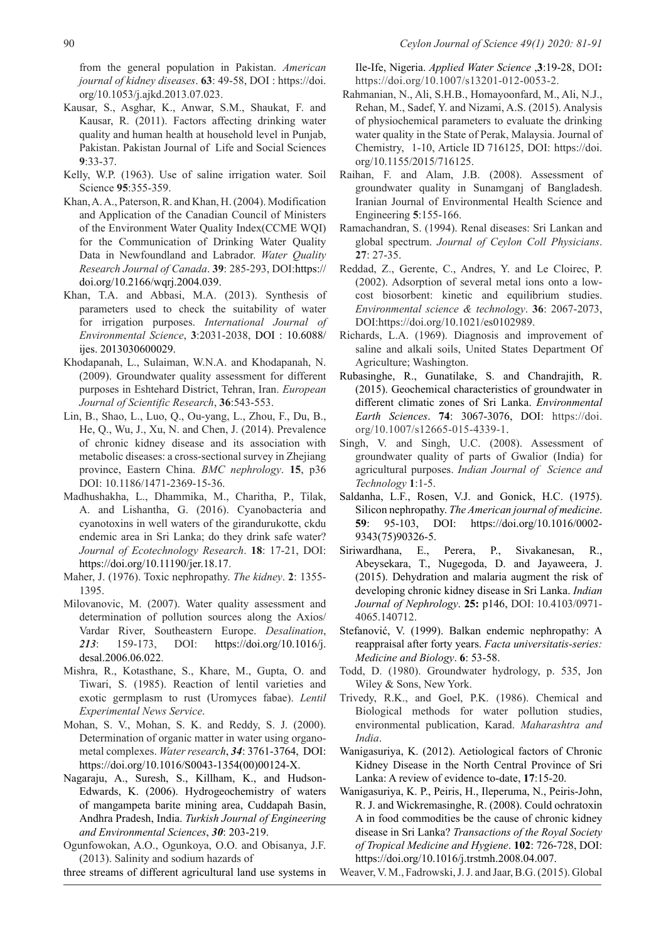from the general population in Pakistan. *American journal of kidney diseases*. **63**: 49-58, DOI : https://doi. org/10.1053/j.ajkd.2013.07.023.

- Kausar, S., Asghar, K., Anwar, S.M., Shaukat, F. and Kausar, R. (2011). Factors affecting drinking water quality and human health at household level in Punjab, Pakistan. Pakistan Journal of Life and Social Sciences **9**:33-37.
- Kelly, W.P. (1963). Use of saline irrigation water. Soil Science **95**:355-359.
- Khan, A. A., Paterson, R. and Khan, H. (2004). Modification and Application of the Canadian Council of Ministers of the Environment Water Quality Index(CCME WQI) for the Communication of Drinking Water Quality Data in Newfoundland and Labrador. *Water Quality Research Journal of Canada*. **39**: 285-293, DOI:https:// doi.org/10.2166/wqrj.2004.039.
- Khan, T.A. and Abbasi, M.A. (2013). Synthesis of parameters used to check the suitability of water for irrigation purposes. *International Journal of Environmental Science*, **3**:2031-2038, DOI : 10.6088/ ijes. 2013030600029.
- Khodapanah, L., Sulaiman, W.N.A. and Khodapanah, N. (2009). Groundwater quality assessment for different purposes in Eshtehard District, Tehran, Iran. *European Journal of Scientific Research*, **36**:543-553.
- Lin, B., Shao, L., Luo, Q., Ou-yang, L., Zhou, F., Du, B., He, Q., Wu, J., Xu, N. and Chen, J. (2014). Prevalence of chronic kidney disease and its association with metabolic diseases: a cross-sectional survey in Zhejiang province, Eastern China. *BMC nephrology*. **15**, p36 DOI: 10.1186/1471-2369-15-36.
- Madhushakha, L., Dhammika, M., Charitha, P., Tilak, A. and Lishantha, G. (2016). Cyanobacteria and cyanotoxins in well waters of the girandurukotte, ckdu endemic area in Sri Lanka; do they drink safe water? *Journal of Ecotechnology Research*. **18**: 17-21, DOI: https://doi.org/10.11190/jer.18.17.
- Maher, J. (1976). Toxic nephropathy. *The kidney*. **2**: 1355- 1395.
- Milovanovic, M. (2007). Water quality assessment and determination of pollution sources along the Axios/ Vardar River, Southeastern Europe. *Desalination*, *213*: 159-173, DOI: https://doi.org/10.1016/j. desal.2006.06.022.
- Mishra, R., Kotasthane, S., Khare, M., Gupta, O. and Tiwari, S. (1985). Reaction of lentil varieties and exotic germplasm to rust (Uromyces fabae). *Lentil Experimental News Service*.
- Mohan, S. V., Mohan, S. K. and Reddy, S. J. (2000). Determination of organic matter in water using organometal complexes. *Water research*, *34*: 3761-3764, DOI: https://doi.org/10.1016/S0043-1354(00)00124-X.
- Nagaraju, A., Suresh, S., Killham, K., and Hudson-Edwards, K. (2006). Hydrogeochemistry of waters of mangampeta barite mining area, Cuddapah Basin, Andhra Pradesh, India. *Turkish Journal of Engineering and Environmental Sciences*, *30*: 203-219.
- Ogunfowokan, A.O., Ogunkoya, O.O. and Obisanya, J.F. (2013). Salinity and sodium hazards of

three streams of different agricultural land use systems in

Ile-Ife, Nigeria. *Applied Water Science* ,**3**:19-28, DOI**:**  https://doi.org/10.1007/s13201-012-0053-2.

- Rahmanian, N., Ali, S.H.B., Homayoonfard, M., Ali, N.J., Rehan, M., Sadef, Y. and Nizami, A.S. (2015). Analysis of physiochemical parameters to evaluate the drinking water quality in the State of Perak, Malaysia. Journal of Chemistry, 1-10, Article ID 716125, DOI: https://doi. org/10.1155/2015/716125.
- Raihan, F. and Alam, J.B. (2008). Assessment of groundwater quality in Sunamganj of Bangladesh. Iranian Journal of Environmental Health Science and Engineering **5**:155-166.
- Ramachandran, S. (1994). Renal diseases: Sri Lankan and global spectrum. *Journal of Ceylon Coll Physicians*. **27**: 27-35.
- Reddad, Z., Gerente, C., Andres, Y. and Le Cloirec, P. (2002). Adsorption of several metal ions onto a lowcost biosorbent: kinetic and equilibrium studies. *Environmental science & technology*. **36**: 2067-2073, DOI:https://doi.org/10.1021/es0102989.
- Richards, L.A. (1969). Diagnosis and improvement of saline and alkali soils, United States Department Of Agriculture; Washington.
- Rubasinghe, R., Gunatilake, S. and Chandrajith, R. (2015). Geochemical characteristics of groundwater in different climatic zones of Sri Lanka. *Environmental Earth Sciences*. **74**: 3067-3076, DOI: https://doi. org/10.1007/s12665-015-4339-1.
- Singh, V. and Singh, U.C. (2008). Assessment of groundwater quality of parts of Gwalior (India) for agricultural purposes. *Indian Journal of Science and Technology* **1**:1-5.
- Saldanha, L.F., Rosen, V.J. and Gonick, H.C. (1975). Silicon nephropathy. *The American journal of medicine*. **59**: 95-103, DOI: https://doi.org/10.1016/0002- 9343(75)90326-5.
- Siriwardhana, E., Perera, P., Sivakanesan, R., Abeysekara, T., Nugegoda, D. and Jayaweera, J. (2015). Dehydration and malaria augment the risk of developing chronic kidney disease in Sri Lanka. *Indian Journal of Nephrology*. **25:** p146, DOI: 10.4103/0971- 4065.140712.
- Stefanović, V. (1999). Balkan endemic nephropathy: A reappraisal after forty years. *Facta universitatis-series: Medicine and Biology*. **6**: 53-58.
- Todd, D. (1980). Groundwater hydrology, p. 535, Jon Wiley & Sons, New York.
- Trivedy, R.K., and Goel, P.K. (1986). Chemical and Biological methods for water pollution studies, environmental publication, Karad. *Maharashtra and India*.
- Wanigasuriya, K. (2012). Aetiological factors of Chronic Kidney Disease in the North Central Province of Sri Lanka: A review of evidence to-date, **17**:15-20.
- Wanigasuriya, K. P., Peiris, H., Ileperuma, N., Peiris-John, R. J. and Wickremasinghe, R. (2008). Could ochratoxin A in food commodities be the cause of chronic kidney disease in Sri Lanka? *Transactions of the Royal Society of Tropical Medicine and Hygiene*. **102**: 726-728, DOI: https://doi.org/10.1016/j.trstmh.2008.04.007.
- Weaver, V. M., Fadrowski, J. J. and Jaar, B.G. (2015). Global